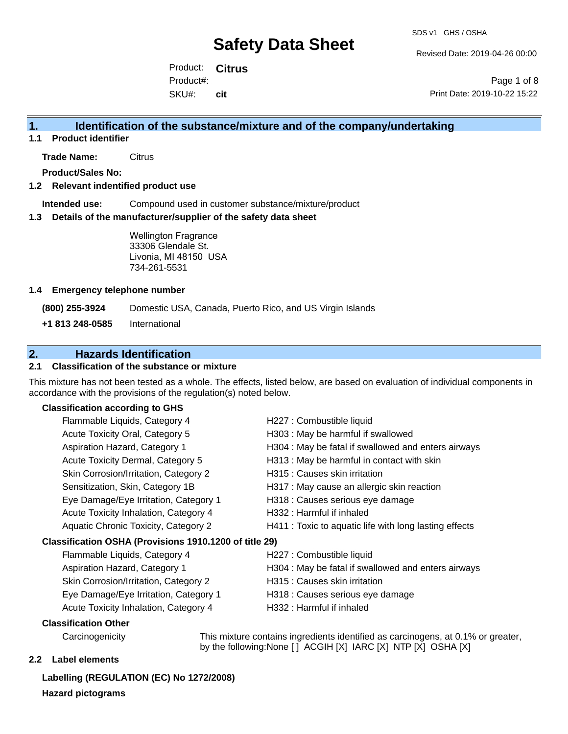Revised Date: 2019-04-26 00:00

Product: **Citrus** SKU#: Product#: **cit**

Page 1 of 8 Print Date: 2019-10-22 15:22

## **1. Identification of the substance/mixture and of the company/undertaking**

**1.1 Product identifier**

**Trade Name:** Citrus

**Product/Sales No:**

### **1.2 Relevant indentified product use**

**Intended use:** Compound used in customer substance/mixture/product

#### **1.3 Details of the manufacturer/supplier of the safety data sheet**

Wellington Fragrance 33306 Glendale St. Livonia, MI 48150 USA 734-261-5531

#### **1.4 Emergency telephone number**

**(800) 255-3924** Domestic USA, Canada, Puerto Rico, and US Virgin Islands

**+1 813 248-0585** International

## **2. Hazards Identification**

## **2.1 Classification of the substance or mixture**

This mixture has not been tested as a whole. The effects, listed below, are based on evaluation of individual components in accordance with the provisions of the regulation(s) noted below.

### **Classification according to GHS**

| Flammable Liquids, Category 4                          | H227 : Combustible liquid                              |
|--------------------------------------------------------|--------------------------------------------------------|
| Acute Toxicity Oral, Category 5                        | H303 : May be harmful if swallowed                     |
| Aspiration Hazard, Category 1                          | H304 : May be fatal if swallowed and enters airways    |
| Acute Toxicity Dermal, Category 5                      | H313 : May be harmful in contact with skin             |
| Skin Corrosion/Irritation, Category 2                  | H315 : Causes skin irritation                          |
| Sensitization, Skin, Category 1B                       | H317 : May cause an allergic skin reaction             |
| Eye Damage/Eye Irritation, Category 1                  | H318 : Causes serious eye damage                       |
| Acute Toxicity Inhalation, Category 4                  | H332 : Harmful if inhaled                              |
| Aquatic Chronic Toxicity, Category 2                   | H411 : Toxic to aquatic life with long lasting effects |
| Classification OSHA (Provisions 1910.1200 of title 29) |                                                        |
| Flammable Liquids, Category 4                          | H227 : Combustible liquid                              |
| Aspiration Hazard, Category 1                          | H304 : May be fatal if swallowed and enters airways    |
| Skin Corrosion/Irritation, Category 2                  | H315 : Causes skin irritation                          |
|                                                        |                                                        |

Acute Toxicity Inhalation, Category 4 H332 : Harmful if inhaled

- Eye Damage/Eye Irritation, Category 1 H318 : Causes serious eye damage
	-

#### **Classification Other**

Carcinogenicity This mixture contains ingredients identified as carcinogens, at 0.1% or greater, by the following:None [ ] ACGIH [X] IARC [X] NTP [X] OSHA [X]

#### **2.2 Label elements**

**Labelling (REGULATION (EC) No 1272/2008) Hazard pictograms**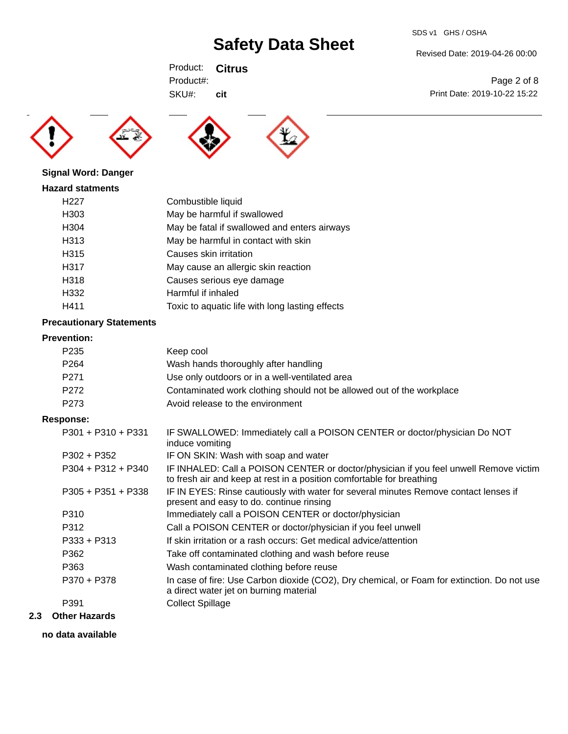SDS v1 GHS / OSHA

Product: **Citrus** SKU#: Product#: **cit**

**Signal Word: Danger**





**Hazard statments** H227 Combustible liquid H303 May be harmful if swallowed H304 May be fatal if swallowed and enters airways H313 May be harmful in contact with skin H315 Causes skin irritation H317 May cause an allergic skin reaction H318 Causes serious eye damage H332 Harmful if inhaled H411 Toxic to aquatic life with long lasting effects

## **Precautionary Statements**

#### **Prevention:**

| P235             | Keep cool                                                             |
|------------------|-----------------------------------------------------------------------|
| P <sub>264</sub> | Wash hands thoroughly after handling                                  |
| P271             | Use only outdoors or in a well-ventilated area                        |
| P272             | Contaminated work clothing should not be allowed out of the workplace |
| P273             | Avoid release to the environment                                      |

### **Response:**

| $P301 + P310 + P331$ | IF SWALLOWED: Immediately call a POISON CENTER or doctor/physician Do NOT<br>induce vomiting                                                                   |
|----------------------|----------------------------------------------------------------------------------------------------------------------------------------------------------------|
| $P302 + P352$        | IF ON SKIN: Wash with soap and water                                                                                                                           |
| $P304 + P312 + P340$ | IF INHALED: Call a POISON CENTER or doctor/physician if you feel unwell Remove victim<br>to fresh air and keep at rest in a position comfortable for breathing |
| $P305 + P351 + P338$ | IF IN EYES: Rinse cautiously with water for several minutes Remove contact lenses if<br>present and easy to do. continue rinsing                               |
| P310                 | Immediately call a POISON CENTER or doctor/physician                                                                                                           |
| P312                 | Call a POISON CENTER or doctor/physician if you feel unwell                                                                                                    |
| $P333 + P313$        | If skin irritation or a rash occurs: Get medical advice/attention                                                                                              |
| P362                 | Take off contaminated clothing and wash before reuse                                                                                                           |
| P363                 | Wash contaminated clothing before reuse                                                                                                                        |
| P370 + P378          | In case of fire: Use Carbon dioxide (CO2), Dry chemical, or Foam for extinction. Do not use<br>a direct water jet on burning material                          |
| P391                 | <b>Collect Spillage</b>                                                                                                                                        |
|                      |                                                                                                                                                                |

## **2.3 Other Hazards**

**no data available**

#### Revised Date: 2019-04-26 00:00

Page 2 of 8 Print Date: 2019-10-22 15:22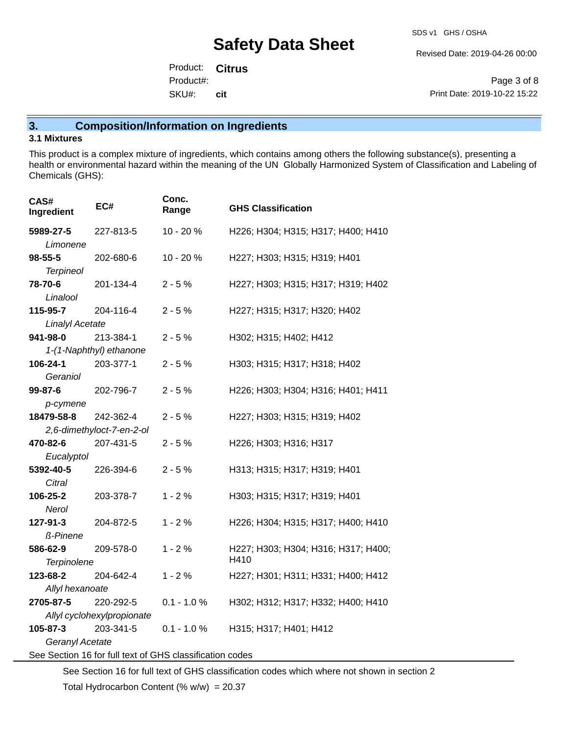Revised Date: 2019-04-26 00:00

Product: **Citrus** SKU#: Product#: **cit**

Page 3 of 8 Print Date: 2019-10-22 15:22

## **3. Composition/Information on Ingredients**

#### **3.1 Mixtures**

This product is a complex mixture of ingredients, which contains among others the following substance(s), presenting a health or environmental hazard within the meaning of the UN Globally Harmonized System of Classification and Labeling of Chemicals (GHS):

| CAS#<br>Ingredient         | EC#                       | Conc.<br>Range | <b>GHS Classification</b>           |  |
|----------------------------|---------------------------|----------------|-------------------------------------|--|
| 5989-27-5                  | 227-813-5                 | $10 - 20%$     | H226; H304; H315; H317; H400; H410  |  |
| Limonene                   |                           |                |                                     |  |
| $98 - 55 - 5$              | 202-680-6                 | 10 - 20 %      | H227; H303; H315; H319; H401        |  |
| <b>Terpineol</b>           |                           |                |                                     |  |
| 78-70-6                    | 201-134-4                 | $2 - 5%$       | H227; H303; H315; H317; H319; H402  |  |
| Linalool                   |                           |                |                                     |  |
| 115-95-7                   | 204-116-4                 | $2 - 5%$       | H227; H315; H317; H320; H402        |  |
| Linalyl Acetate            |                           |                |                                     |  |
| 941-98-0                   | 213-384-1                 | $2 - 5%$       | H302; H315; H402; H412              |  |
|                            | 1-(1-Naphthyl) ethanone   |                |                                     |  |
| 106-24-1                   | 203-377-1                 | $2 - 5%$       | H303; H315; H317; H318; H402        |  |
| Geraniol                   |                           |                |                                     |  |
| 99-87-6                    | 202-796-7                 | $2 - 5%$       | H226; H303; H304; H316; H401; H411  |  |
| p-cymene                   |                           |                |                                     |  |
| 18479-58-8                 | 242-362-4                 | $2 - 5%$       | H227; H303; H315; H319; H402        |  |
|                            | 2,6-dimethyloct-7-en-2-ol |                |                                     |  |
| 470-82-6                   | 207-431-5                 | $2 - 5%$       | H226; H303; H316; H317              |  |
| Eucalyptol                 |                           |                |                                     |  |
| 5392-40-5<br>Citral        | 226-394-6                 | $2 - 5%$       | H313; H315; H317; H319; H401        |  |
| 106-25-2                   | 203-378-7                 | $1 - 2%$       | H303; H315; H317; H319; H401        |  |
| Nerol                      |                           |                |                                     |  |
| 127-91-3                   | 204-872-5                 | $1 - 2%$       | H226; H304; H315; H317; H400; H410  |  |
| <b>ß-Pinene</b>            |                           |                |                                     |  |
| 586-62-9                   | 209-578-0                 | $1 - 2%$       | H227; H303; H304; H316; H317; H400; |  |
| Terpinolene                |                           |                | H410                                |  |
| 123-68-2                   | 204-642-4                 | $1 - 2%$       | H227; H301; H311; H331; H400; H412  |  |
| Allyl hexanoate            |                           |                |                                     |  |
| 2705-87-5                  | 220-292-5                 | $0.1 - 1.0 \%$ | H302; H312; H317; H332; H400; H410  |  |
| Allyl cyclohexylpropionate |                           |                |                                     |  |
| 105-87-3                   | 203-341-5                 | $0.1 - 1.0 %$  | H315; H317; H401; H412              |  |
| Geranyl Acetate            |                           |                |                                     |  |
|                            |                           |                |                                     |  |

See Section 16 for full text of GHS classification codes

See Section 16 for full text of GHS classification codes which where not shown in section 2

Total Hydrocarbon Content (%  $w/w$ ) = 20.37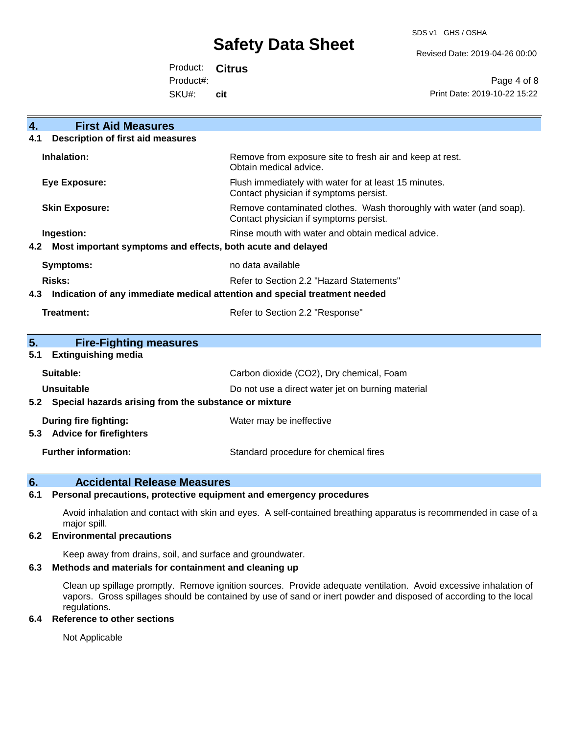SDS v1 GHS / OSHA

Revised Date: 2019-04-26 00:00

Product: **Citrus** Product#:

SKU#: **cit**

Page 4 of 8 Print Date: 2019-10-22 15:22

| <b>First Aid Measures</b><br>4.                                                   |                                                                                                               |  |
|-----------------------------------------------------------------------------------|---------------------------------------------------------------------------------------------------------------|--|
| <b>Description of first aid measures</b><br>4.1                                   |                                                                                                               |  |
| Inhalation:                                                                       | Remove from exposure site to fresh air and keep at rest.<br>Obtain medical advice.                            |  |
| <b>Eye Exposure:</b>                                                              | Flush immediately with water for at least 15 minutes.<br>Contact physician if symptoms persist.               |  |
| <b>Skin Exposure:</b>                                                             | Remove contaminated clothes. Wash thoroughly with water (and soap).<br>Contact physician if symptoms persist. |  |
| Ingestion:                                                                        | Rinse mouth with water and obtain medical advice.                                                             |  |
| Most important symptoms and effects, both acute and delayed<br>4.2                |                                                                                                               |  |
| Symptoms:                                                                         | no data available                                                                                             |  |
| <b>Risks:</b>                                                                     | Refer to Section 2.2 "Hazard Statements"                                                                      |  |
| Indication of any immediate medical attention and special treatment needed<br>4.3 |                                                                                                               |  |
| <b>Treatment:</b>                                                                 | Refer to Section 2.2 "Response"                                                                               |  |
| 5.<br><b>Fire-Fighting measures</b>                                               |                                                                                                               |  |
| <b>Extinguishing media</b><br>5.1                                                 |                                                                                                               |  |
| Suitable:                                                                         | Carbon dioxide (CO2), Dry chemical, Foam                                                                      |  |
| <b>Unsuitable</b>                                                                 | Do not use a direct water jet on burning material                                                             |  |
| Special hazards arising from the substance or mixture<br>5.2                      |                                                                                                               |  |
| During fire fighting:                                                             | Water may be ineffective                                                                                      |  |
| <b>Advice for firefighters</b><br>5.3                                             |                                                                                                               |  |
| <b>Further information:</b>                                                       | Standard procedure for chemical fires                                                                         |  |

## **6. Accidental Release Measures**

#### **6.1 Personal precautions, protective equipment and emergency procedures**

Avoid inhalation and contact with skin and eyes. A self-contained breathing apparatus is recommended in case of a major spill.

## **6.2 Environmental precautions**

Keep away from drains, soil, and surface and groundwater.

## **6.3 Methods and materials for containment and cleaning up**

Clean up spillage promptly. Remove ignition sources. Provide adequate ventilation. Avoid excessive inhalation of vapors. Gross spillages should be contained by use of sand or inert powder and disposed of according to the local regulations.

#### **6.4 Reference to other sections**

Not Applicable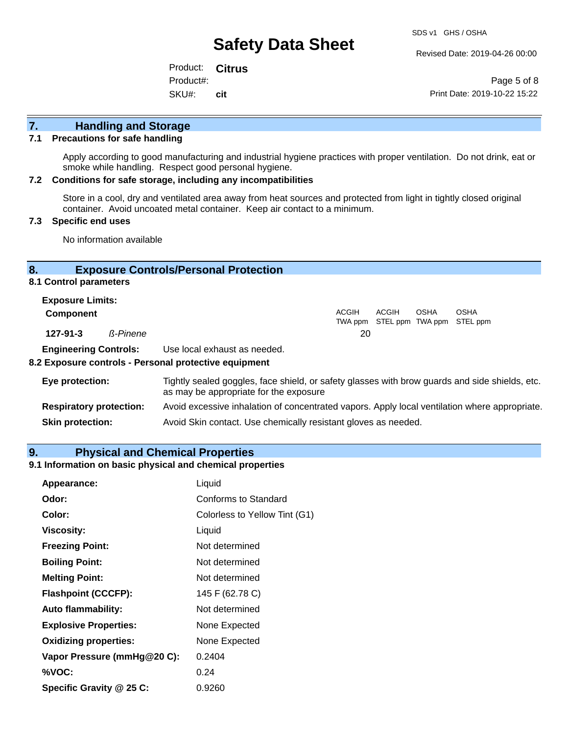Revised Date: 2019-04-26 00:00

Product: **Citrus** SKU#: Product#: **cit**

Page 5 of 8 Print Date: 2019-10-22 15:22

## **7. Handling and Storage**

## **7.1 Precautions for safe handling**

Apply according to good manufacturing and industrial hygiene practices with proper ventilation. Do not drink, eat or smoke while handling. Respect good personal hygiene.

#### **7.2 Conditions for safe storage, including any incompatibilities**

Store in a cool, dry and ventilated area away from heat sources and protected from light in tightly closed original container. Avoid uncoated metal container. Keep air contact to a minimum.

### **7.3 Specific end uses**

No information available

## **8. Exposure Controls/Personal Protection**

#### **8.1 Control parameters**

| <b>Exposure Limits:</b>      |          |                              |       |       |             |                                                  |
|------------------------------|----------|------------------------------|-------|-------|-------------|--------------------------------------------------|
| <b>Component</b>             |          |                              | ACGIH | ACGIH | <b>OSHA</b> | <b>OSHA</b><br>TWA ppm STEL ppm TWA ppm STEL ppm |
| 127-91-3                     | ß-Pinene |                              | 20    |       |             |                                                  |
| <b>Engineering Controls:</b> |          | Use local exhaust as needed. |       |       |             |                                                  |

#### **8.2 Exposure controls - Personal protective equipment**

| Eye protection:                | Tightly sealed goggles, face shield, or safety glasses with brow guards and side shields, etc.<br>as may be appropriate for the exposure |
|--------------------------------|------------------------------------------------------------------------------------------------------------------------------------------|
| <b>Respiratory protection:</b> | Avoid excessive inhalation of concentrated vapors. Apply local ventilation where appropriate.                                            |
| <b>Skin protection:</b>        | Avoid Skin contact. Use chemically resistant gloves as needed.                                                                           |

#### **9. Physical and Chemical Properties**

## **9.1 Information on basic physical and chemical properties**

| Appearance:                  | Liquid                        |
|------------------------------|-------------------------------|
| Odor:                        | Conforms to Standard          |
| Color:                       | Colorless to Yellow Tint (G1) |
| <b>Viscosity:</b>            | Liquid                        |
| <b>Freezing Point:</b>       | Not determined                |
| <b>Boiling Point:</b>        | Not determined                |
| <b>Melting Point:</b>        | Not determined                |
| <b>Flashpoint (CCCFP):</b>   | 145 F (62.78 C)               |
| <b>Auto flammability:</b>    | Not determined                |
| <b>Explosive Properties:</b> | None Expected                 |
| <b>Oxidizing properties:</b> | None Expected                 |
| Vapor Pressure (mmHg@20 C):  | 0.2404                        |
| %VOC:                        | 0.24                          |
| Specific Gravity @ 25 C:     | 0.9260                        |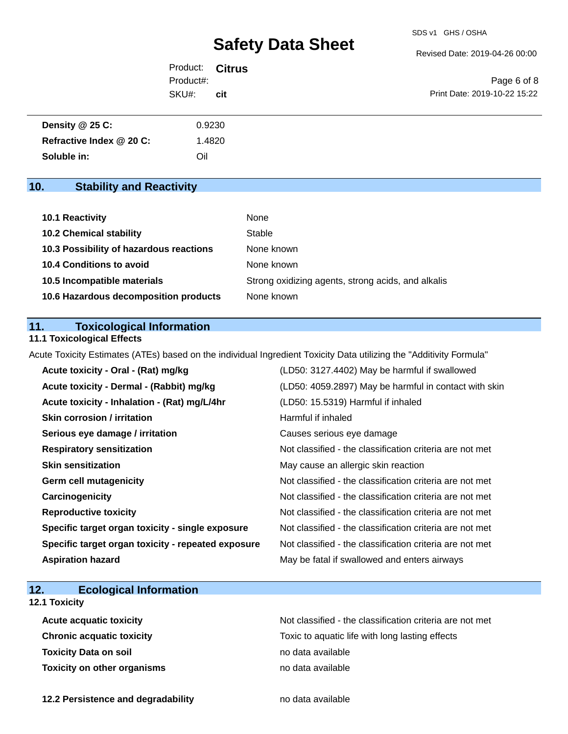Revised Date: 2019-04-26 00:00

| Product: <b>Citrus</b> |     |                              |
|------------------------|-----|------------------------------|
| Product#:              |     | Page 6 of 8                  |
| SKU#:                  | cit | Print Date: 2019-10-22 15:22 |

| Density $@25C$ :         | 0.9230 |
|--------------------------|--------|
| Refractive Index @ 20 C: | .4820  |
| Soluble in:              | Oil    |

## **10. Stability and Reactivity**

| 10.1 Reactivity                         | None                                               |
|-----------------------------------------|----------------------------------------------------|
| <b>10.2 Chemical stability</b>          | Stable                                             |
| 10.3 Possibility of hazardous reactions | None known                                         |
| <b>10.4 Conditions to avoid</b>         | None known                                         |
| 10.5 Incompatible materials             | Strong oxidizing agents, strong acids, and alkalis |
| 10.6 Hazardous decomposition products   | None known                                         |

## **11. Toxicological Information**

## **11.1 Toxicological Effects**

Acute Toxicity Estimates (ATEs) based on the individual Ingredient Toxicity Data utilizing the "Additivity Formula"

| Acute toxicity - Oral - (Rat) mg/kg                | (LD50: 3127.4402) May be harmful if swallowed            |
|----------------------------------------------------|----------------------------------------------------------|
| Acute toxicity - Dermal - (Rabbit) mg/kg           | (LD50: 4059.2897) May be harmful in contact with skin    |
| Acute toxicity - Inhalation - (Rat) mg/L/4hr       | (LD50: 15.5319) Harmful if inhaled                       |
| <b>Skin corrosion / irritation</b>                 | Harmful if inhaled                                       |
| Serious eye damage / irritation                    | Causes serious eye damage                                |
| <b>Respiratory sensitization</b>                   | Not classified - the classification criteria are not met |
| <b>Skin sensitization</b>                          | May cause an allergic skin reaction                      |
| <b>Germ cell mutagenicity</b>                      | Not classified - the classification criteria are not met |
| Carcinogenicity                                    | Not classified - the classification criteria are not met |
| <b>Reproductive toxicity</b>                       | Not classified - the classification criteria are not met |
| Specific target organ toxicity - single exposure   | Not classified - the classification criteria are not met |
| Specific target organ toxicity - repeated exposure | Not classified - the classification criteria are not met |
| <b>Aspiration hazard</b>                           | May be fatal if swallowed and enters airways             |

## **12. Ecological Information**

## **12.1 Toxicity**

| <b>Acute acquatic toxicity</b>     | Not classified - the classification criteria are not met |
|------------------------------------|----------------------------------------------------------|
| <b>Chronic acquatic toxicity</b>   | Toxic to aquatic life with long lasting effects          |
| <b>Toxicity Data on soil</b>       | no data available                                        |
| <b>Toxicity on other organisms</b> | no data available                                        |

**12.2 Persistence and degradability no data available**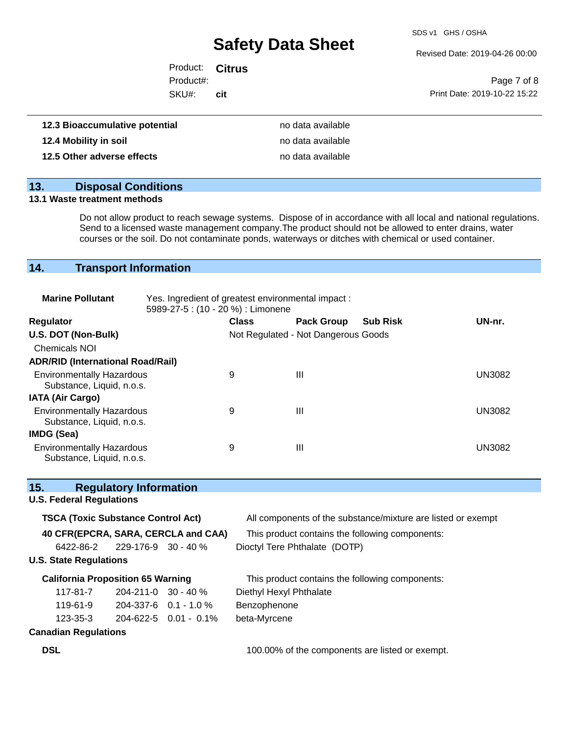SDS v1 GHS / OSHA

Revised Date: 2019-04-26 00:00

| Product: <b>Citrus</b> |     |                              |
|------------------------|-----|------------------------------|
| Product#:              |     | Page 7 of 8                  |
| SKU#:                  | cit | Print Date: 2019-10-22 15:22 |
|                        |     |                              |

| 12.3 Bioaccumulative potential | no data available |
|--------------------------------|-------------------|
| 12.4 Mobility in soil          | no data available |
| 12.5 Other adverse effects     | no data available |

## **13. Disposal Conditions**

#### **13.1 Waste treatment methods**

Do not allow product to reach sewage systems. Dispose of in accordance with all local and national regulations. Send to a licensed waste management company.The product should not be allowed to enter drains, water courses or the soil. Do not contaminate ponds, waterways or ditches with chemical or used container.

## **14. Transport Information**

| <b>Marine Pollutant</b>                                       | Yes. Ingredient of greatest environmental impact:<br>5989-27-5 : (10 - 20 %) : Limonene |              |                                     |                 |               |
|---------------------------------------------------------------|-----------------------------------------------------------------------------------------|--------------|-------------------------------------|-----------------|---------------|
| <b>Regulator</b>                                              |                                                                                         | <b>Class</b> | <b>Pack Group</b>                   | <b>Sub Risk</b> | UN-nr.        |
| U.S. DOT (Non-Bulk)                                           |                                                                                         |              | Not Regulated - Not Dangerous Goods |                 |               |
| <b>Chemicals NOI</b>                                          |                                                                                         |              |                                     |                 |               |
| <b>ADR/RID (International Road/Rail)</b>                      |                                                                                         |              |                                     |                 |               |
| <b>Environmentally Hazardous</b><br>Substance, Liquid, n.o.s. |                                                                                         | 9            | Ш                                   |                 | <b>UN3082</b> |
| <b>IATA (Air Cargo)</b>                                       |                                                                                         |              |                                     |                 |               |
| <b>Environmentally Hazardous</b><br>Substance, Liquid, n.o.s. |                                                                                         | 9            | Ш                                   |                 | <b>UN3082</b> |
| IMDG (Sea)                                                    |                                                                                         |              |                                     |                 |               |
| <b>Environmentally Hazardous</b><br>Substance, Liquid, n.o.s. |                                                                                         | 9            | Ш                                   |                 | UN3082        |

| 15. | <b>Regulatory Information</b> |
|-----|-------------------------------|
|-----|-------------------------------|

## **U.S. Federal Regulations**

| <b>TSCA (Toxic Substance Control Act)</b> |                                     |                                     | All components of the substance/mixture are listed or exempt |
|-------------------------------------------|-------------------------------------|-------------------------------------|--------------------------------------------------------------|
|                                           |                                     | 40 CFR(EPCRA, SARA, CERCLA and CAA) | This product contains the following components:              |
|                                           | $6422 - 86 - 2$ 229-176-9 30 - 40 % |                                     | Dioctyl Tere Phthalate (DOTP)                                |
| <b>U.S. State Regulations</b>             |                                     |                                     |                                                              |
| <b>California Proposition 65 Warning</b>  |                                     |                                     | This product contains the following components:              |
| 117-81-7                                  | $204 - 211 - 0$ 30 - 40 %           |                                     | Diethyl Hexyl Phthalate                                      |
| 119-61-9                                  |                                     | $204-337-6$ 0.1 - 1.0 %             | Benzophenone                                                 |
| $123 - 35 - 3$                            |                                     | $204 - 622 - 5$ 0.01 - 0.1%         | beta-Myrcene                                                 |
| <b>Canadian Regulations</b>               |                                     |                                     |                                                              |
| <b>DSL</b>                                |                                     |                                     | 100.00% of the components are listed or exempt.              |